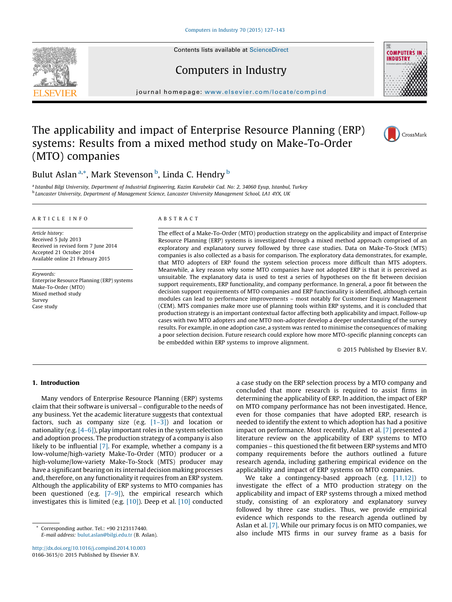Contents lists available at [ScienceDirect](http://www.sciencedirect.com/science/journal/01663615)





## Computers in Industry

journal homepage: www.elsevier.com/locate/compind

## The applicability and impact of Enterprise Resource Planning (ERP) systems: Results from a mixed method study on Make-To-Order (MTO) companies



### Bulut Aslan <sup>a,</sup>\*, Mark Stevenson <sup>b</sup>, Linda C. Hendry <sup>b</sup>

<sup>a</sup> Istanbul Bilgi University, Department of Industrial Engineering, Kazim Karabekir Cad. No: 2, 34060 Eyup, Istanbul, Turkey <sup>b</sup> Lancaster University, Department of Management Science, Lancaster University Management School, LA1 4YX, UK

#### A R T I C L E I N F O

Article history: Received 5 July 2013 Received in revised form 7 June 2014 Accepted 21 October 2014 Available online 21 February 2015

Keywords: Enterprise Resource Planning (ERP) systems Make-To-Order (MTO) Mixed method study Survey Case study

#### A B S T R A C T

The effect of a Make-To-Order (MTO) production strategy on the applicability and impact of Enterprise Resource Planning (ERP) systems is investigated through a mixed method approach comprised of an exploratory and explanatory survey followed by three case studies. Data on Make-To-Stock (MTS) companies is also collected as a basis for comparison. The exploratory data demonstrates, for example, that MTO adopters of ERP found the system selection process more difficult than MTS adopters. Meanwhile, a key reason why some MTO companies have not adopted ERP is that it is perceived as unsuitable. The explanatory data is used to test a series of hypotheses on the fit between decision support requirements, ERP functionality, and company performance. In general, a poor fit between the decision support requirements of MTO companies and ERP functionality is identified, although certain modules can lead to performance improvements – most notably for Customer Enquiry Management (CEM). MTS companies make more use of planning tools within ERP systems, and it is concluded that production strategy is an important contextual factor affecting both applicability and impact. Follow-up cases with two MTO adopters and one MTO non-adopter develop a deeper understanding of the survey results. For example, in one adoption case, a system was rented to minimise the consequences of making a poor selection decision. Future research could explore how more MTO-specific planning concepts can be embedded within ERP systems to improve alignment.

- 2015 Published by Elsevier B.V.

#### 1. Introduction

Many vendors of Enterprise Resource Planning (ERP) systems claim that their software is universal – configurable to the needs of any business. Yet the academic literature suggests that contextual factors, such as company size (e.g.  $[1-3]$ ) and location or nationality (e.g. [\[4–6\]\)](#page--1-0), play important roles in the system selection and adoption process. The production strategy of a company is also likely to be influential [\[7\]](#page--1-0). For example, whether a company is a low-volume/high-variety Make-To-Order (MTO) producer or a high-volume/low-variety Make-To-Stock (MTS) producer may have a significant bearing on its internal decision making processes and, therefore, on any functionality it requires from an ERP system. Although the applicability of ERP systems to MTO companies has been questioned (e.g.  $[7-9]$ ), the empirical research which investigates this is limited (e.g. [\[10\]](#page--1-0)). Deep et al. [\[10\]](#page--1-0) conducted

<http://dx.doi.org/10.1016/j.compind.2014.10.003> 0166-3615/© 2015 Published by Elsevier B.V.

a case study on the ERP selection process by a MTO company and concluded that more research is required to assist firms in determining the applicability of ERP. In addition, the impact of ERP on MTO company performance has not been investigated. Hence, even for those companies that have adopted ERP, research is needed to identify the extent to which adoption has had a positive impact on performance. Most recently, Aslan et al. [\[7\]](#page--1-0) presented a literature review on the applicability of ERP systems to MTO companies – this questioned the fit between ERP systems and MTO company requirements before the authors outlined a future research agenda, including gathering empirical evidence on the applicability and impact of ERP systems on MTO companies.

We take a contingency-based approach (e.g. [\[11,12\]](#page--1-0)) to investigate the effect of a MTO production strategy on the applicability and impact of ERP systems through a mixed method study, consisting of an exploratory and explanatory survey followed by three case studies. Thus, we provide empirical evidence which responds to the research agenda outlined by Aslan et al. [\[7\].](#page--1-0) While our primary focus is on MTO companies, we also include MTS firms in our survey frame as a basis for

Corresponding author. Tel.: +90 2123117440. E-mail address: [bulut.aslan@bilgi.edu.tr](mailto:bulut.aslan@bilgi�.�edu.tr) (B. Aslan).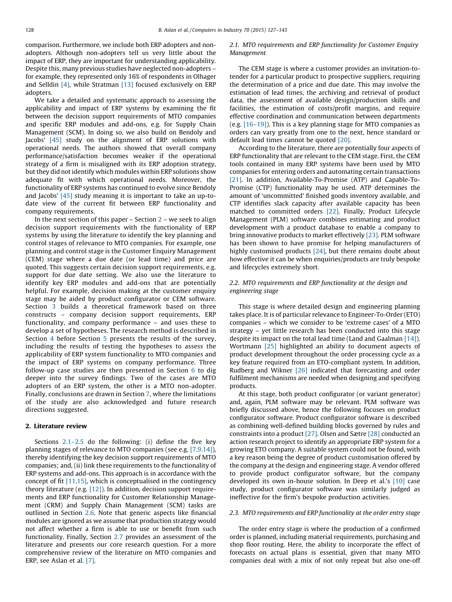comparison. Furthermore, we include both ERP adopters and nonadopters. Although non-adopters tell us very little about the impact of ERP, they are important for understanding applicability. Despite this, many previous studies have neglected non-adopters – for example, they represented only 16% of respondents in Olhager and Selldin  $[4]$ , while Stratman  $[13]$  focused exclusively on ERP adopters.

We take a detailed and systematic approach to assessing the applicability and impact of ERP systems by examining the fit between the decision support requirements of MTO companies and specific ERP modules and add-ons, e.g. for Supply Chain Management (SCM). In doing so, we also build on Bendoly and Jacobs' [\[45\]](#page--1-0) study on the alignment of ERP solutions with operational needs. The authors showed that overall company performance/satisfaction becomes weaker if the operational strategy of a firm is misaligned with its ERP adoption strategy, but they did not identify which modules within ERP solutions show adequate fit with which operational needs. Moreover, the functionality of ERP systems has continued to evolve since Bendoly and Jacobs' [\[45\]](#page--1-0) study meaning it is important to take an up-todate view of the current fit between ERP functionality and company requirements.

In the next section of this paper  $-$  Section  $2$  – we seek to align decision support requirements with the functionality of ERP systems by using the literature to identify the key planning and control stages of relevance to MTO companies. For example, one planning and control stage is the Customer Enquiry Management (CEM) stage where a due date (or lead time) and price are quoted. This suggests certain decision support requirements, e.g. support for due date setting. We also use the literature to identify key ERP modules and add-ons that are potentially helpful. For example, decision making at the customer enquiry stage may be aided by product configurator or CEM software. Section [3](#page--1-0) builds a theoretical framework based on three constructs – company decision support requirements, ERP functionality, and company performance – and uses these to develop a set of hypotheses. The research method is described in Section [4](#page--1-0) before Section [5](#page--1-0) presents the results of the survey, including the results of testing the hypotheses to assess the applicability of ERP system functionality to MTO companies and the impact of ERP systems on company performance. Three follow-up case studies are then presented in Section [6](#page--1-0) to dig deeper into the survey findings. Two of the cases are MTO adopters of an ERP system, the other is a MTO non-adopter. Finally, conclusions are drawn in Section [7](#page--1-0), where the limitations of the study are also acknowledged and future research directions suggested.

#### 2. Literature review

Sections  $2.1-2.5$  do the following: (i) define the five key planning stages of relevance to MTO companies (see e.g. [\[7,9,14\]\)](#page--1-0), thereby identifying the key decision support requirements of MTO companies; and, (ii) link these requirements to the functionality of ERP systems and add-ons. This approach is in accordance with the concept of fit [\[11,15\]](#page--1-0), which is conceptualised in the contingency theory literature (e.g.  $[12]$ ). In addition, decision support requirements and ERP functionality for Customer Relationship Management (CRM) and Supply Chain Management (SCM) tasks are outlined in Section [2.6.](#page--1-0) Note that generic aspects like financial modules are ignored as we assume that production strategy would not affect whether a firm is able to use or benefit from such functionality. Finally, Section [2.7](#page--1-0) provides an assessment of the literature and presents our core research question. For a more comprehensive review of the literature on MTO companies and ERP, see Aslan et al. [\[7\]](#page--1-0).

#### 2.1. MTO requirements and ERP functionality for Customer Enquiry Management

The CEM stage is where a customer provides an invitation-totender for a particular product to prospective suppliers, requiring the determination of a price and due date. This may involve the estimation of lead times, the archiving and retrieval of product data, the assessment of available design/production skills and facilities, the estimation of costs/profit margins, and require effective coordination and communication between departments (e.g. [\[16–19\]](#page--1-0)). This is a key planning stage for MTO companies as orders can vary greatly from one to the next, hence standard or default lead times cannot be quoted [\[20\]](#page--1-0).

According to the literature, there are potentially four aspects of ERP functionality that are relevant to the CEM stage. First, the CEM tools contained in many ERP systems have been used by MTO companies for entering orders and automating certain transactions [\[21\]](#page--1-0). In addition, Available-To-Promise (ATP) and Capable-To-Promise (CTP) functionality may be used. ATP determines the amount of 'uncommitted' finished goods inventory available, and CTP identifies slack capacity after available capacity has been matched to committed orders [\[22\]](#page--1-0). Finally, Product Lifecycle Management (PLM) software combines estimating and product development with a product database to enable a company to bring innovative products to market effectively [\[23\]](#page--1-0). PLM software has been shown to have promise for helping manufacturers of highly customised products [\[24\],](#page--1-0) but there remains doubt about how effective it can be when enquiries/products are truly bespoke and lifecycles extremely short.

#### 2.2. MTO requirements and ERP functionality at the design and engineering stage

This stage is where detailed design and engineering planning takes place. It is of particular relevance to Engineer-To-Order (ETO) companies – which we consider to be 'extreme cases' of a MTO strategy – yet little research has been conducted into this stage despite its impact on the total lead time (Land and Gaalman [\[14\]\)](#page--1-0). Wortmann [\[25\]](#page--1-0) highlighted an ability to document aspects of product development throughout the order processing cycle as a key feature required from an ETO-compliant system. In addition, Rudberg and Wikner [\[26\]](#page--1-0) indicated that forecasting and order fulfilment mechanisms are needed when designing and specifying products.

At this stage, both product configurator (or variant generator) and, again, PLM software may be relevant. PLM software was briefly discussed above, hence the following focuses on product configurator software. Product configurator software is described as combining well-defined building blocks governed by rules and constraints into a product [\[27\].](#page--1-0) Olsen and Sætre [\[28\]](#page--1-0) conducted an action research project to identify an appropriate ERP system for a growing ETO company. A suitable system could not be found, with a key reason being the degree of product customisation offered by the company at the design and engineering stage. A vendor offered to provide product configurator software, but the company developed its own in-house solution. In Deep et al.'s [\[10\]](#page--1-0) case study, product configurator software was similarly judged as ineffective for the firm's bespoke production activities.

#### 2.3. MTO requirements and ERP functionality at the order entry stage

The order entry stage is where the production of a confirmed order is planned, including material requirements, purchasing and shop floor routing. Here, the ability to incorporate the effect of forecasts on actual plans is essential, given that many MTO companies deal with a mix of not only repeat but also one-off